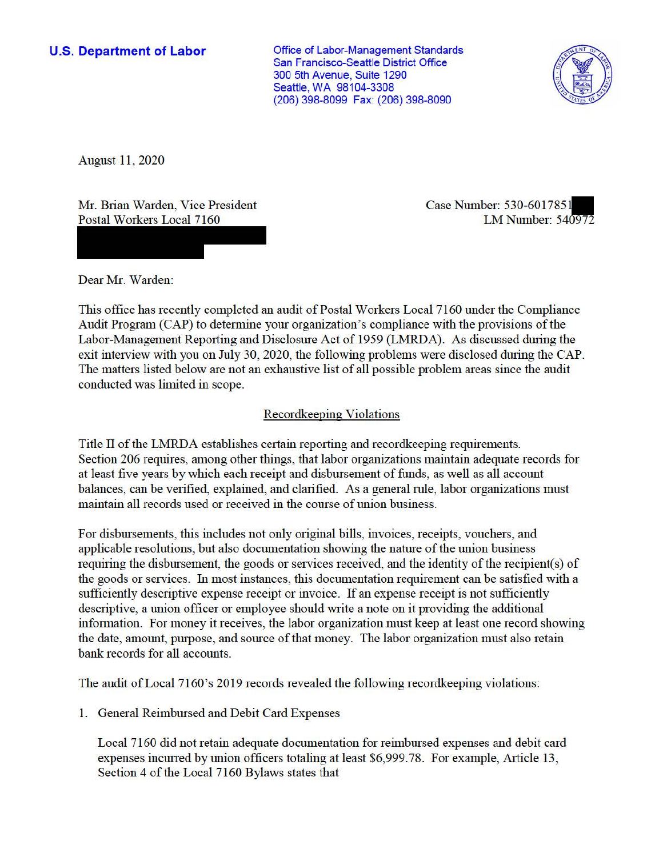## **U.S. Department of Labor**

Office of Labor-Management Standards San Francisco-Seattle District Office 300 5th Avenue, Suite 1290 Seattle, WA 98104-3308 (206) 398-8099 Fax: (206) 398-8090



August 11 , 2020

Mr. Brian Warden, Vice President Postal Workers Local 7160

Case Number: 530-6017851 LM Number: 540972

Dear Mr. Warden:

This office has recently completed an audit of Postal Workers Local 7160 under the Compliance Audit Program (CAP) to determine your organization's compliance with the provisions of the Labor-Management Reporting and Disclosure Act of 1959 (LMRDA). As discussed during the exit interview with you on July 30, 2020, the following problems were disclosed during the CAP. The matters listed below are not an exhaustive list of all possible problem areas since the audit conducted was limited in scope.

# Recordkeeping Violations

Title II of the LMRDA establishes certain reporting and record keeping requirements. Section 206 requires, among other things, that labor organizations maintain adequate records for at least five years by which each receipt and disbursement of funds, as well as all account balances, can be verified, explained, and clarified. As a general rnle, labor organizations must maintain all records used or received in the course of union business.

For disbursements, this includes not only original bills, invoices, receipts, vouchers, and applicable resolutions, but also documentation showing the nature of the union business requiring the disbursement, the goods or services received, and the identity of the recipient(s) of the goods or services. In most instances, this documentation requirement can be satisfied with a sufficiently descriptive expense receipt or invoice. If an expense receipt is not sufficiently descriptive, a union officer or employee should write a note on it providing the additional information. For money it receives, the labor organization must keep at least one record showing the date, amount, purpose, and source of that money. The labor organization must also retain bank records for all accounts.

The audit of Local 7160's 2019 records revealed the following recordkeeping violations:

1. General Reimbursed and Debit Card Expenses

Local 7160 did not retain adequate documentation for reimbursed expenses and debit card expenses incurred by union officers totaling at least \$[6,999.78](https://6,999.78). For example, Article 13, Section 4 of the Local 7160 Bylaws states that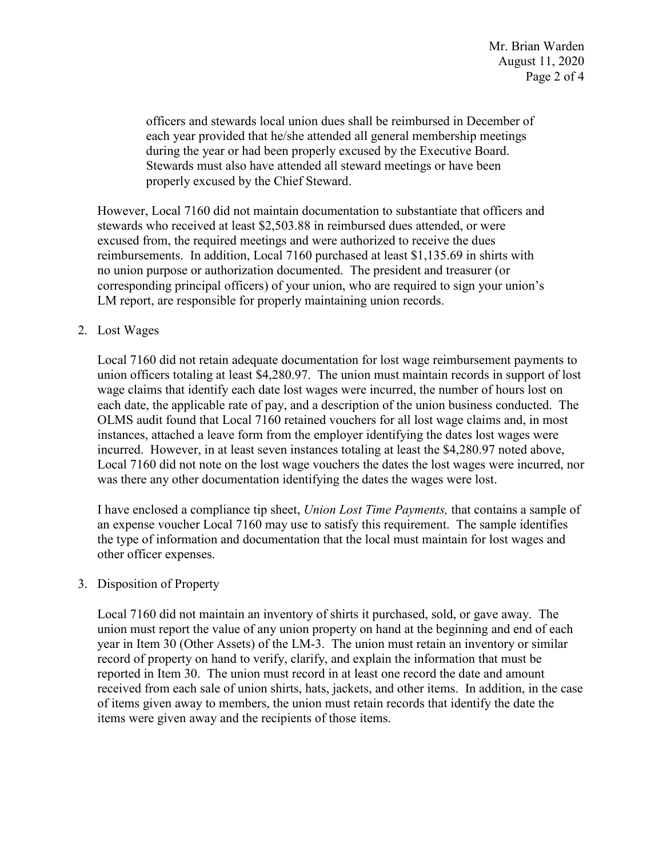officers and stewards local union dues shall be reimbursed in December of each year provided that he/she attended all general membership meetings during the year or had been properly excused by the Executive Board. Stewards must also have attended all steward meetings or have been properly excused by the Chief Steward.

 corresponding principal officers) of your union, who are required to sign your union's However, Local 7160 did not maintain documentation to substantiate that officers and stewards who received at least \$[2,503.88](https://2,503.88) in reimbursed dues attended, or were excused from, the required meetings and were authorized to receive the dues reimbursements. In addition, Local 7160 purchased at least \$[1,135.69](https://1,135.69) in shirts with no union purpose or authorization documented. The president and treasurer (or LM report, are responsible for properly maintaining union records.

### 2. Lost Wages

Local 7160 did not retain adequate documentation for lost wage reimbursement payments to union officers totaling at least [\\$4,280.97](https://4,280.97). The union must maintain records in support of lost wage claims that identify each date lost wages were incurred, the number of hours lost on each date, the applicable rate of pay, and a description of the union business conducted. The OLMS audit found that Local 7160 retained vouchers for all lost wage claims and, in most instances, attached a leave form from the employer identifying the dates lost wages were incurred. However, in at least seven instances totaling at least the [\\$4,280.97](https://4,280.97) noted above, Local 7160 did not note on the lost wage vouchers the dates the lost wages were incurred, nor was there any other documentation identifying the dates the wages were lost.

 I have enclosed a compliance tip sheet, *Union Lost Time Payments,* that contains a sample of an expense voucher Local 7160 may use to satisfy this requirement. The sample identifies the type of information and documentation that the local must maintain for lost wages and other officer expenses.

### 3. Disposition of Property

 year in Item 30 (Other Assets) of the LM-3. The union must retain an inventory or similar received from each sale of union shirts, hats, jackets, and other items. In addition, in the case of items given away to members, the union must retain records that identify the date the items were given away and the recipients of those items. Local 7160 did not maintain an inventory of shirts it purchased, sold, or gave away. The union must report the value of any union property on hand at the beginning and end of each record of property on hand to verify, clarify, and explain the information that must be reported in Item 30. The union must record in at least one record the date and amount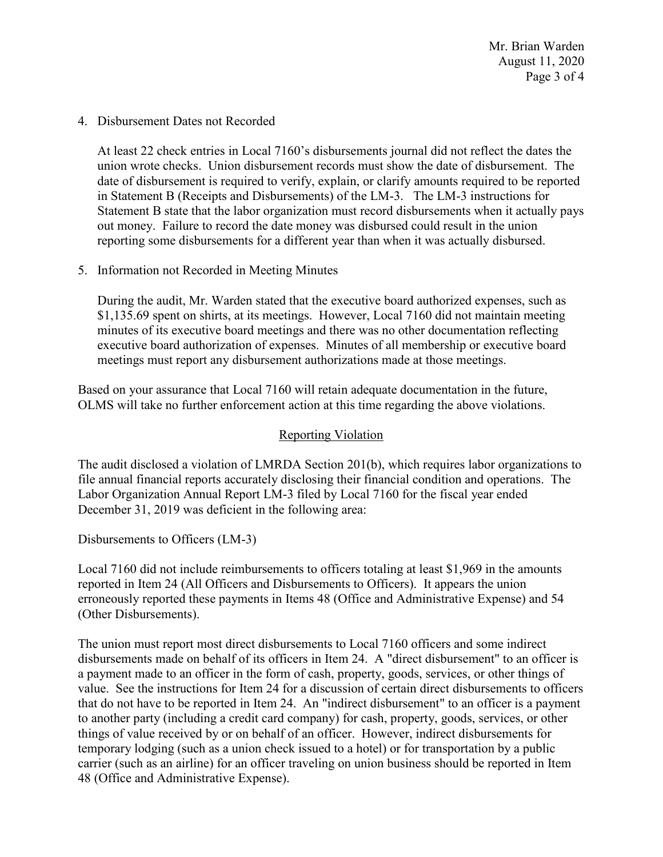Mr. Brian Warden August 11, 2020 Page 3 of 4

4. Disbursement Dates not Recorded

 in Statement B (Receipts and Disbursements) of the LM-3. The LM-3 instructions for Statement B state that the labor organization must record disbursements when it actually pays reporting some disbursements for a different year than when it was actually disbursed. At least 22 check entries in Local 7160's disbursements journal did not reflect the dates the union wrote checks. Union disbursement records must show the date of disbursement. The date of disbursement is required to verify, explain, or clarify amounts required to be reported out money. Failure to record the date money was disbursed could result in the union

5. Information not Recorded in Meeting Minutes

During the audit, Mr. Warden stated that the executive board authorized expenses, such as \$[1,135.69](https://1,135.69) spent on shirts, at its meetings. However, Local 7160 did not maintain meeting minutes of its executive board meetings and there was no other documentation reflecting executive board authorization of expenses. Minutes of all membership or executive board meetings must report any disbursement authorizations made at those meetings.

 Based on your assurance that Local 7160 will retain adequate documentation in the future, OLMS will take no further enforcement action at this time regarding the above violations.

# Reporting Violation

 Labor Organization Annual Report LM-3 filed by Local 7160 for the fiscal year ended The audit disclosed a violation of LMRDA Section 201(b), which requires labor organizations to file annual financial reports accurately disclosing their financial condition and operations. The December 31, 2019 was deficient in the following area:

Disbursements to Officers (LM-3)

Local 7160 did not include reimbursements to officers totaling at least \$1,969 in the amounts reported in Item 24 (All Officers and Disbursements to Officers). It appears the union erroneously reported these payments in Items 48 (Office and Administrative Expense) and 54 (Other Disbursements).

 value. See the instructions for Item 24 for a discussion of certain direct disbursements to officers that do not have to be reported in Item 24. An "indirect disbursement" to an officer is a payment The union must report most direct disbursements to Local 7160 officers and some indirect disbursements made on behalf of its officers in Item 24. A "direct disbursement" to an officer is a payment made to an officer in the form of cash, property, goods, services, or other things of to another party (including a credit card company) for cash, property, goods, services, or other things of value received by or on behalf of an officer. However, indirect disbursements for temporary lodging (such as a union check issued to a hotel) or for transportation by a public carrier (such as an airline) for an officer traveling on union business should be reported in Item 48 (Office and Administrative Expense).